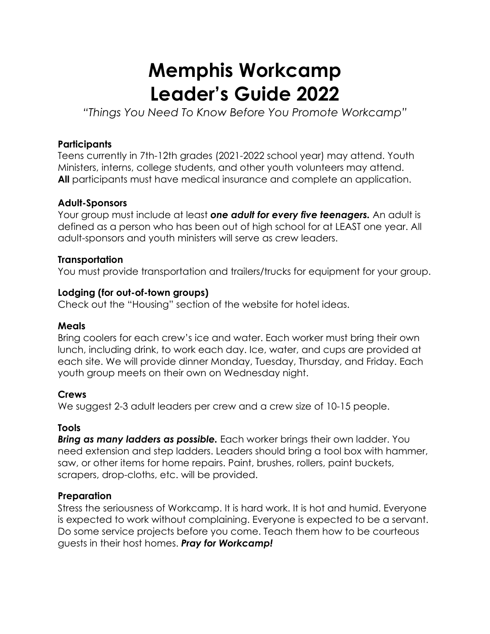# **Memphis Workcamp Leader's Guide 2022**

*"Things You Need To Know Before You Promote Workcamp"*

#### **Participants**

Teens currently in 7th-12th grades (2021-2022 school year) may attend. Youth Ministers, interns, college students, and other youth volunteers may attend. **All** participants must have medical insurance and complete an application.

#### **Adult-Sponsors**

Your group must include at least *one adult for every five teenagers.* An adult is defined as a person who has been out of high school for at LEAST one year. All adult-sponsors and youth ministers will serve as crew leaders.

#### **Transportation**

You must provide transportation and trailers/trucks for equipment for your group.

#### **Lodging (for out-of-town groups)**

Check out the "Housing" section of the website for hotel ideas.

#### **Meals**

Bring coolers for each crew's ice and water. Each worker must bring their own lunch, including drink, to work each day. Ice, water, and cups are provided at each site. We will provide dinner Monday, Tuesday, Thursday, and Friday. Each youth group meets on their own on Wednesday night.

## **Crews**

We suggest 2-3 adult leaders per crew and a crew size of 10-15 people.

## **Tools**

*Bring as many ladders as possible.* Each worker brings their own ladder. You need extension and step ladders. Leaders should bring a tool box with hammer, saw, or other items for home repairs. Paint, brushes, rollers, paint buckets, scrapers, drop-cloths, etc. will be provided.

## **Preparation**

Stress the seriousness of Workcamp. It is hard work. It is hot and humid. Everyone is expected to work without complaining. Everyone is expected to be a servant. Do some service projects before you come. Teach them how to be courteous guests in their host homes. *Pray for Workcamp!*